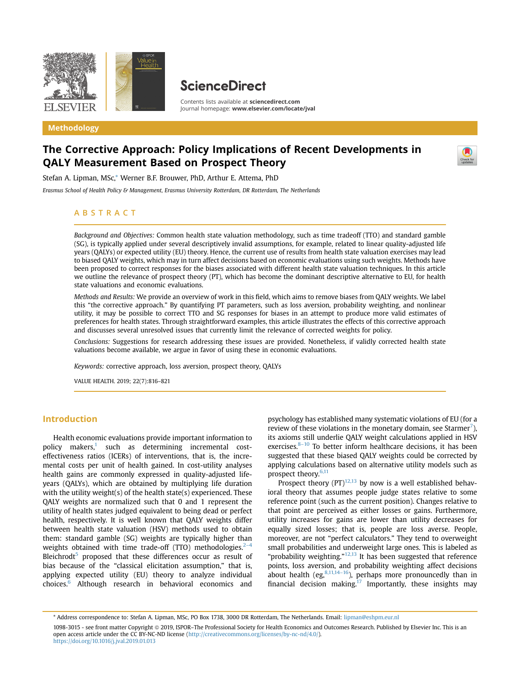

Methodology

# **ScienceDirect**

Contents lists available at [sciencedirect.com](www.sciencedirect.com) Journal homepage: [www.elsevier.com/locate/jval](http://www.elsevier.com/locate/jval)

# The Corrective Approach: Policy Implications of Recent Developments in QALY Measurement Based on Prospect Theory



Stefan A. Lipman, MSc,\* Werner B.F. Brouwer, PhD, Arthur E. Attema, PhD

Erasmus School of Health Policy & Management, Erasmus University Rotterdam, DR Rotterdam, The Netherlands

# ABSTRACT

Background and Objectives: Common health state valuation methodology, such as time tradeoff (TTO) and standard gamble (SG), is typically applied under several descriptively invalid assumptions, for example, related to linear quality-adjusted life years (QALYs) or expected utility (EU) theory. Hence, the current use of results from health state valuation exercises may lead to biased QALY weights, which may in turn affect decisions based on economic evaluations using such weights. Methods have been proposed to correct responses for the biases associated with different health state valuation techniques. In this article we outline the relevance of prospect theory (PT), which has become the dominant descriptive alternative to EU, for health state valuations and economic evaluations.

Methods and Results: We provide an overview of work in this field, which aims to remove biases from QALY weights. We label this "the corrective approach." By quantifying PT parameters, such as loss aversion, probability weighting, and nonlinear utility, it may be possible to correct TTO and SG responses for biases in an attempt to produce more valid estimates of preferences for health states. Through straightforward examples, this article illustrates the effects of this corrective approach and discusses several unresolved issues that currently limit the relevance of corrected weights for policy.

Conclusions: Suggestions for research addressing these issues are provided. Nonetheless, if validly corrected health state valuations become available, we argue in favor of using these in economic evaluations.

Keywords: corrective approach, loss aversion, prospect theory, QALYs

VALUE HEALTH. 2019; 22(7):816–821

# Introduction

Health economic evaluations provide important information to policy makers,<sup>1</sup> such as determining incremental costeffectiveness ratios (ICERs) of interventions, that is, the incremental costs per unit of health gained. In cost-utility analyses health gains are commonly expressed in quality-adjusted lifeyears (QALYs), which are obtained by multiplying life duration with the utility weight(s) of the health state(s) experienced. These QALY weights are normalized such that 0 and 1 represent the utility of health states judged equivalent to being dead or perfect health, respectively. It is well known that QALY weights differ between health state valuation (HSV) methods used to obtain them: standard gamble (SG) weights are typically higher than weights obtained with time trade-off (TTO) methodologies. $2-4$ Bleichrodt<sup>5</sup> proposed that these differences occur as result of bias because of the "classical elicitation assumption," that is, applying expected utility (EU) theory to analyze individual choices[.6](#page-5-0) Although research in behavioral economics and

psychology has established many systematic violations of EU (for a review of these violations in the monetary domain, see Starmer<sup>[7](#page-5-0)</sup>), its axioms still underlie QALY weight calculations applied in HSV exercises. $8-10$  $8-10$  To better inform healthcare decisions, it has been suggested that these biased QALY weights could be corrected by applying calculations based on alternative utility models such as prospect theory.<sup>6,11</sup>

Prospect theory  $(PT)^{12,13}$  $(PT)^{12,13}$  $(PT)^{12,13}$  by now is a well established behavioral theory that assumes people judge states relative to some reference point (such as the current position). Changes relative to that point are perceived as either losses or gains. Furthermore, utility increases for gains are lower than utility decreases for equally sized losses; that is, people are loss averse. People, moreover, are not "perfect calculators." They tend to overweight small probabilities and underweight large ones. This is labeled as "probability weighting."<sup>[12,13](#page-5-0)</sup> It has been suggested that reference points, loss aversion, and probability weighting affect decisions about health (eg,  $8,11,14-16$  $8,11,14-16$ ), perhaps more pronouncedly than in financial decision making.<sup>[17](#page-5-0)</sup> Importantly, these insights may

<sup>\*</sup> Address correspondence to: Stefan A. Lipman, MSc, PO Box 1738, 3000 DR Rotterdam, The Netherlands. Email: [lipman@eshpm.eur.nl](mailto:lipman@eshpm.eur.nl)

<sup>1098-3015 -</sup> see front matter Copyright @ 2019, ISPOR-The Professional Society for Health Economics and Outcomes Research. Published by Elsevier Inc. This is an open access article under the CC BY-NC-ND license [\(http://creativecommons.org/licenses/by-nc-nd/4.0/\)](http://creativecommons.org/licenses/by-nc-nd/4.0/). <https://doi.org/10.1016/j.jval.2019.01.013>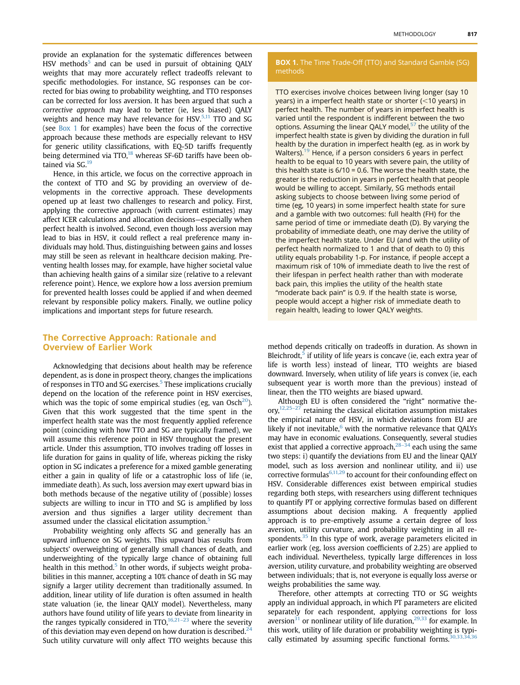provide an explanation for the systematic differences between HSV methods $<sup>5</sup>$  and can be used in pursuit of obtaining QALY</sup> weights that may more accurately reflect tradeoffs relevant to specific methodologies. For instance, SG responses can be corrected for bias owing to probability weighting, and TTO responses can be corrected for loss aversion. It has been argued that such a corrective approach may lead to better (ie, less biased) QALY weights and hence may have relevance for HSV. $5,11$  TTO and SG (see Box 1 for examples) have been the focus of the corrective approach because these methods are especially relevant to HSV for generic utility classifications, with EQ-5D tariffs frequently being determined via TTO,<sup>18</sup> whereas SF-6D tariffs have been obtained via SG.<sup>19</sup>

Hence, in this article, we focus on the corrective approach in the context of TTO and SG by providing an overview of developments in the corrective approach. These developments opened up at least two challenges to research and policy. First, applying the corrective approach (with current estimates) may affect ICER calculations and allocation decisions—especially when perfect health is involved. Second, even though loss aversion may lead to bias in HSV, it could reflect a real preference many individuals may hold. Thus, distinguishing between gains and losses may still be seen as relevant in healthcare decision making. Preventing health losses may, for example, have higher societal value than achieving health gains of a similar size (relative to a relevant reference point). Hence, we explore how a loss aversion premium for prevented health losses could be applied if and when deemed relevant by responsible policy makers. Finally, we outline policy implications and important steps for future research.

# The Corrective Approach: Rationale and Overview of Earlier Work

Acknowledging that decisions about health may be reference dependent, as is done in prospect theory, changes the implications of responses in TTO and SG exercises.<sup>[5](#page-5-0)</sup> These implications crucially depend on the location of the reference point in HSV exercises, which was the topic of some empirical studies (eg, van Osch<sup>20</sup>). Given that this work suggested that the time spent in the imperfect health state was the most frequently applied reference point (coinciding with how TTO and SG are typically framed), we will assume this reference point in HSV throughout the present article. Under this assumption, TTO involves trading off losses in life duration for gains in quality of life, whereas picking the risky option in SG indicates a preference for a mixed gamble generating either a gain in quality of life or a catastrophic loss of life (ie, immediate death). As such, loss aversion may exert upward bias in both methods because of the negative utility of (possible) losses subjects are willing to incur in TTO and SG is amplified by loss aversion and thus signifies a larger utility decrement than assumed under the classical elicitation assumption.<sup>5</sup>

Probability weighting only affects SG and generally has an upward influence on SG weights. This upward bias results from subjects' overweighting of generally small chances of death, and underweighting of the typically large chance of obtaining full health in this method. $\overline{5}$  $\overline{5}$  $\overline{5}$  In other words, if subjects weight probabilities in this manner, accepting a 10% chance of death in SG may signify a larger utility decrement than traditionally assumed. In addition, linear utility of life duration is often assumed in health state valuation (ie, the linear QALY model). Nevertheless, many authors have found utility of life years to deviate from linearity in the ranges typically considered in  $TTO$ ,<sup>[16,21](#page-5-0)–23</sup> where the severity of this deviation may even depend on how duration is described.<sup>24</sup> Such utility curvature will only affect TTO weights because this

# **BOX 1.** The Time Trade-Off (TTO) and Standard Gamble (SG) methods

TTO exercises involve choices between living longer (say 10 years) in a imperfect health state or shorter  $(<10$  years) in perfect health. The number of years in imperfect health is varied until the respondent is indifferent between the two options. Assuming the linear QALY model, $57$  the utility of the imperfect health state is given by dividing the duration in full health by the duration in imperfect health (eg. as in work by Walters).<sup>19</sup> Hence, if a person considers 6 years in perfect health to be equal to 10 years with severe pain, the utility of this health state is 6/10 = 0.6. The worse the health state, the greater is the reduction in years in perfect health that people would be willing to accept. Similarly, SG methods entail asking subjects to choose between living some period of time (eg, 10 years) in some imperfect health state for sure and a gamble with two outcomes: full health (FH) for the same period of time or immediate death (D). By varying the probability of immediate death, one may derive the utility of the imperfect health state. Under EU (and with the utility of perfect health normalized to 1 and that of death to 0) this utility equals probability 1-p. For instance, if people accept a maximum risk of 10% of immediate death to live the rest of their lifespan in perfect health rather than with moderate back pain, this implies the utility of the health state "moderate back pain" is 0.9. If the health state is worse, people would accept a higher risk of immediate death to regain health, leading to lower QALY weights.

method depends critically on tradeoffs in duration. As shown in Bleichrodt, $5$  if utility of life years is concave (ie, each extra year of life is worth less) instead of linear, TTO weights are biased downward. Inversely, when utility of life years is convex (ie, each subsequent year is worth more than the previous) instead of linear, then the TTO weights are biased upward.

Although EU is often considered the "right" normative theory, $12,25-27$  retaining the classical elicitation assumption mistakes the empirical nature of HSV, in which deviations from EU are likely if not inevitable, $6$  with the normative relevance that QALYs may have in economic evaluations. Consequently, several studies exist that applied a corrective approach, $28-34$  $28-34$  each using the same two steps: i) quantify the deviations from EU and the linear QALY model, such as loss aversion and nonlinear utility, and ii) use corrective formulas  $6,11,29$  to account for their confounding effect on HSV. Considerable differences exist between empirical studies regarding both steps, with researchers using different techniques to quantify PT or applying corrective formulas based on different assumptions about decision making. A frequently applied approach is to pre-emptively assume a certain degree of loss aversion, utility curvature, and probability weighting in all respondents.<sup>35</sup> In this type of work, average parameters elicited in earlier work (eg, loss aversion coefficients of 2.25) are applied to each individual. Nevertheless, typically large differences in loss aversion, utility curvature, and probability weighting are observed between individuals; that is, not everyone is equally loss averse or weighs probabilities the same way.

Therefore, other attempts at correcting TTO or SG weights apply an individual approach, in which PT parameters are elicited separately for each respondent, applying corrections for loss aversion<sup>31</sup> or nonlinear utility of life duration,<sup>[29,33](#page-5-0)</sup> for example. In this work, utility of life duration or probability weighting is typi-cally estimated by assuming specific functional forms.<sup>[30,33,34,36](#page-5-0)</sup>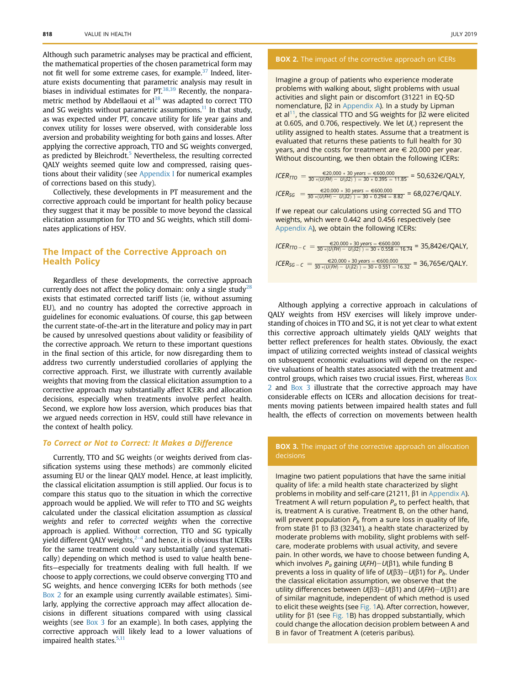Although such parametric analyses may be practical and efficient, the mathematical properties of the chosen parametrical form may not fit well for some extreme cases, for example.<sup>37</sup> Indeed, literature exists documenting that parametric analysis may result in biases in individual estimates for  $PT<sup>38,39</sup>$  $PT<sup>38,39</sup>$  $PT<sup>38,39</sup>$  Recently, the nonpara-metric method by Abdellaoui et al<sup>[38](#page-5-0)</sup> was adapted to correct TTO and SG weights without parametric assumptions. $^{11}$  In that study, as was expected under PT, concave utility for life year gains and convex utility for losses were observed, with considerable loss aversion and probability weighting for both gains and losses. After applying the corrective approach, TTO and SG weights converged, as predicted by Bleichrodt.<sup>[5](#page-5-0)</sup> Nevertheless, the resulting corrected QALY weights seemed quite low and compressed, raising questions about their validity (see [Appendix I](#page-5-0) for numerical examples of corrections based on this study).

Collectively, these developments in PT measurement and the corrective approach could be important for health policy because they suggest that it may be possible to move beyond the classical elicitation assumption for TTO and SG weights, which still dominates applications of HSV.

# The Impact of the Corrective Approach on Health Policy

Regardless of these developments, the corrective approach currently does not affect the policy domain: only a single study<sup>28</sup> exists that estimated corrected tariff lists (ie, without assuming EU), and no country has adopted the corrective approach in guidelines for economic evaluations. Of course, this gap between the current state-of-the-art in the literature and policy may in part be caused by unresolved questions about validity or feasibility of the corrective approach. We return to these important questions in the final section of this article, for now disregarding them to address two currently understudied corollaries of applying the corrective approach. First, we illustrate with currently available weights that moving from the classical elicitation assumption to a corrective approach may substantially affect ICERs and allocation decisions, especially when treatments involve perfect health. Second, we explore how loss aversion, which produces bias that we argued needs correction in HSV, could still have relevance in the context of health policy.

#### To Correct or Not to Correct: It Makes a Difference

Currently, TTO and SG weights (or weights derived from classification systems using these methods) are commonly elicited assuming EU or the linear QALY model. Hence, at least implicitly, the classical elicitation assumption is still applied. Our focus is to compare this status quo to the situation in which the corrective approach would be applied. We will refer to TTO and SG weights calculated under the classical elicitation assumption as classical weights and refer to corrected weights when the corrective approach is applied. Without correction, TTO and SG typically yield different QALY weights, $2-4$  and hence, it is obvious that ICERs for the same treatment could vary substantially (and systematically) depending on which method is used to value health benefits—especially for treatments dealing with full health. If we choose to apply corrections, we could observe converging TTO and SG weights, and hence converging ICERs for both methods (see Box 2 for an example using currently available estimates). Similarly, applying the corrective approach may affect allocation decisions in different situations compared with using classical weights (see Box 3 for an example). In both cases, applying the corrective approach will likely lead to a lower valuations of impaired health states. $5,11$ 

#### **BOX 2.** The impact of the corrective approach on ICERs

Imagine a group of patients who experience moderate problems with walking about, slight problems with usual activities and slight pain or discomfort (31221 in EQ-5D nomenclature,  $\beta$ 2 in [Appendix A\)](#page-5-0). In a study by Lipman et al<sup>[11](#page-5-0)</sup>, the classical TTO and SG weights for  $\beta$ 2 were elicited at 0.605, and 0.706, respectively. We let  $U(.)$  represent the utility assigned to health states. Assume that a treatment is evaluated that returns these patients to full health for 30 years, and the costs for treatment are  $\epsilon$  20,000 per year. Without discounting, we then obtain the following ICERs:

$$
ICER_{TTO} = \frac{\text{€20,000} * 30 \text{ years} = \text{€600,000}}{30 * (U(FH) - U(\beta2)) = 30 * 0.395 = 11.85} = 50,632 \text{€}/QALY,
$$
  

$$
ICER_{SG} = \frac{\text{€20,000} * 30 \text{ years} = \text{€600,000}}{30 * (U(FH) - U(\beta2)) = 30 * 0.294 = 8.82} = 68,027 \text{€}/QALY.
$$

If we repeat our calculations using corrected SG and TTO weights, which were 0.442 and 0.456 respectively (see [Appendix A](#page-5-0)), we obtain the following ICERs:

*ICER<sub>TTO</sub> - c* = 
$$
\frac{\epsilon 20,000 * 30 \text{ years}}{30 * (U(FH) - U(\beta 2))} = 30 * 0.558 = 16.74 = 35,842 \in IQALY,
$$
  
\n*ICER<sub>SG</sub> - c* =  $\frac{\epsilon 20,000 * 30 \text{ years}}{30 * (U(FH) - U(\beta 2))} = 30 * 0.551 = 16.32 = 36,765 \in IQALY.$ 

Although applying a corrective approach in calculations of QALY weights from HSV exercises will likely improve understanding of choices in TTO and SG, it is not yet clear to what extent this corrective approach ultimately yields QALY weights that better reflect preferences for health states. Obviously, the exact impact of utilizing corrected weights instead of classical weights on subsequent economic evaluations will depend on the respective valuations of health states associated with the treatment and control groups, which raises two crucial issues. First, whereas Box 2 and Box 3 illustrate that the corrective approach may have considerable effects on ICERs and allocation decisions for treatments moving patients between impaired health states and full health, the effects of correction on movements between health

#### **BOX 3.** The impact of the corrective approach on allocation decisions

Imagine two patient populations that have the same initial quality of life: a mild health state characterized by slight problems in mobility and self-care (21211,  $\beta$ 1 in [Appendix A\)](#page-5-0). Treatment A will return population  $P_a$  to perfect health, that is, treatment A is curative. Treatment B, on the other hand, will prevent population  $P_b$  from a sure loss in quality of life, from state  $\beta$ 1 to  $\beta$ 3 (32341), a health state characterized by moderate problems with mobility, slight problems with selfcare, moderate problems with usual activity, and severe pain. In other words, we have to choose between funding A, which involves  $P_a$  gaining  $U(FH) - U(\beta 1)$ , while funding B prevents a loss in quality of life of  $U(\beta3)-U(\beta1)$  for  $P_b$ . Under the classical elicitation assumption, we observe that the utility differences between  $U(\beta 3)-U(\beta 1)$  and  $U(FH)-U(\beta 1)$  are of similar magnitude, independent of which method is used to elicit these weights (see [Fig. 1](#page-3-0)A). After correction, however, utility for  $\beta$ 1 (see [Fig. 1](#page-3-0)B) has dropped substantially, which could change the allocation decision problem between A and B in favor of Treatment A (ceteris paribus).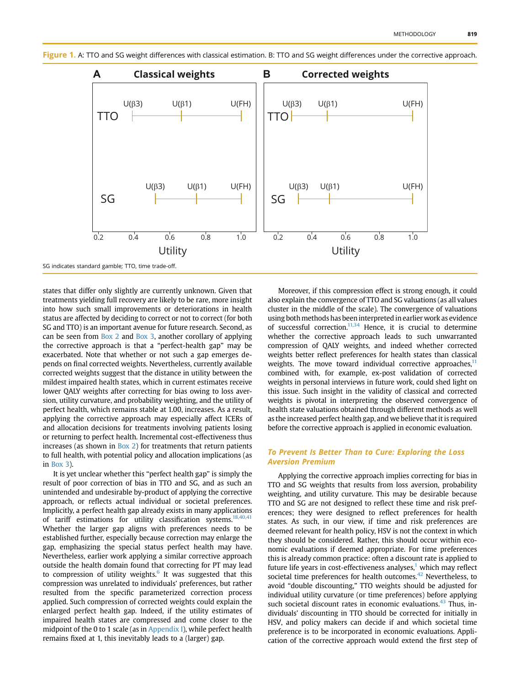

<span id="page-3-0"></span>Figure 1. A: TTO and SG weight differences with classical estimation. B: TTO and SG weight differences under the corrective approach.

states that differ only slightly are currently unknown. Given that treatments yielding full recovery are likely to be rare, more insight into how such small improvements or deteriorations in health status are affected by deciding to correct or not to correct (for both SG and TTO) is an important avenue for future research. Second, as can be seen from Box 2 and Box 3, another corollary of applying the corrective approach is that a "perfect-health gap" may be exacerbated. Note that whether or not such a gap emerges depends on final corrected weights. Nevertheless, currently available corrected weights suggest that the distance in utility between the mildest impaired health states, which in current estimates receive lower QALY weights after correcting for bias owing to loss aversion, utility curvature, and probability weighting, and the utility of perfect health, which remains stable at 1.00, increases. As a result, applying the corrective approach may especially affect ICERs of and allocation decisions for treatments involving patients losing or returning to perfect health. Incremental cost-effectiveness thus increases (as shown in Box 2) for treatments that return patients to full health, with potential policy and allocation implications (as in Box 3).

It is yet unclear whether this "perfect health gap" is simply the result of poor correction of bias in TTO and SG, and as such an unintended and undesirable by-product of applying the corrective approach, or reflects actual individual or societal preferences. Implicitly, a perfect health gap already exists in many applications of tariff estimations for utility classification systems.<sup>[18,40,41](#page-5-0)</sup> Whether the larger gap aligns with preferences needs to be established further, especially because correction may enlarge the gap, emphasizing the special status perfect health may have. Nevertheless, earlier work applying a similar corrective approach outside the health domain found that correcting for PT may lead to compression of utility weights. $6$  It was suggested that this compression was unrelated to individuals' preferences, but rather resulted from the specific parameterized correction process applied. Such compression of corrected weights could explain the enlarged perfect health gap. Indeed, if the utility estimates of impaired health states are compressed and come closer to the midpoint of the 0 to 1 scale (as in [Appendix I\)](#page-5-0), while perfect health remains fixed at 1, this inevitably leads to a (larger) gap.

Moreover, if this compression effect is strong enough, it could also explain the convergence of TTO and SG valuations (as all values cluster in the middle of the scale). The convergence of valuations using both methods has been interpreted in earlier work as evidence of successful correction.<sup>11,34</sup> Hence, it is crucial to determine whether the corrective approach leads to such unwarranted compression of QALY weights, and indeed whether corrected weights better reflect preferences for health states than classical weights. The move toward individual corrective approaches, $11$ combined with, for example, ex-post validation of corrected weights in personal interviews in future work, could shed light on this issue. Such insight in the validity of classical and corrected weights is pivotal in interpreting the observed convergence of health state valuations obtained through different methods as well as the increased perfect health gap, and we believe that it is required before the corrective approach is applied in economic evaluation.

# To Prevent Is Better Than to Cure: Exploring the Loss

Applying the corrective approach implies correcting for bias in TTO and SG weights that results from loss aversion, probability weighting, and utility curvature. This may be desirable because TTO and SG are not designed to reflect these time and risk preferences; they were designed to reflect preferences for health states. As such, in our view, if time and risk preferences are deemed relevant for health policy, HSV is not the context in which they should be considered. Rather, this should occur within economic evaluations if deemed appropriate. For time preferences this is already common practice: often a discount rate is applied to future life years in cost-effectiveness analyses, $1$  which may reflect societal time preferences for health outcomes.<sup>[42](#page-5-0)</sup> Nevertheless, to avoid "double discounting," TTO weights should be adjusted for individual utility curvature (or time preferences) before applying such societal discount rates in economic evaluations.<sup>[43](#page-5-0)</sup> Thus, individuals' discounting in TTO should be corrected for initially in HSV, and policy makers can decide if and which societal time preference is to be incorporated in economic evaluations. Application of the corrective approach would extend the first step of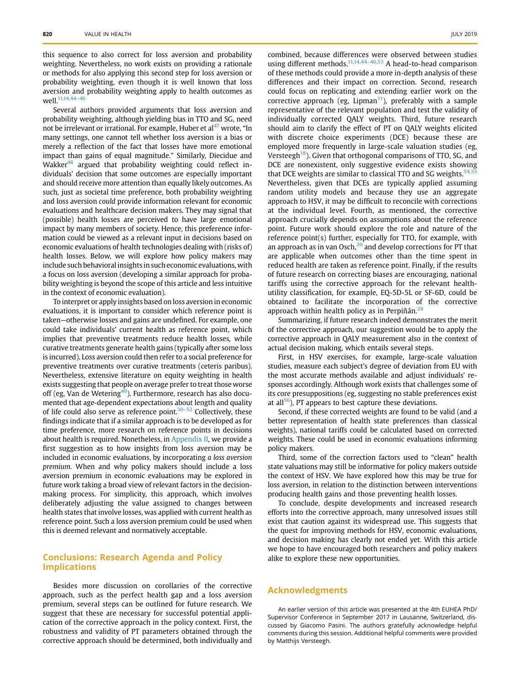this sequence to also correct for loss aversion and probability weighting. Nevertheless, no work exists on providing a rationale or methods for also applying this second step for loss aversion or probability weighting, even though it is well known that loss aversion and probability weighting apply to health outcomes as well.<sup>11,14,44-46</sup>

Several authors provided arguments that loss aversion and probability weighting, although yielding bias in TTO and SG, need not be irrelevant or irrational. For example, Huber et al<sup>47</sup> wrote, "In many settings, one cannot tell whether loss aversion is a bias or merely a reflection of the fact that losses have more emotional impact than gains of equal magnitude." Similarly, Diecidue and Wakker<sup>48</sup> argued that probability weighting could reflect individuals' decision that some outcomes are especially important and should receive more attention than equally likely outcomes. As such, just as societal time preference, both probability weighting and loss aversion could provide information relevant for economic evaluations and healthcare decision makers. They may signal that (possible) health losses are perceived to have large emotional impact by many members of society. Hence, this preference information could be viewed as a relevant input in decisions based on economic evaluations of health technologies dealing with (risks of) health losses. Below, we will explore how policy makers may include such behavioral insights in such economic evaluations, with a focus on loss aversion (developing a similar approach for probability weighting is beyond the scope of this article and less intuitive in the context of economic evaluation).

To interpret or apply insights based on loss aversion in economic evaluations, it is important to consider which reference point is taken—otherwise losses and gains are undefined. For example, one could take individuals' current health as reference point, which implies that preventive treatments reduce health losses, while curative treatments generate health gains (typically after some loss is incurred). Loss aversion could then refer to a social preference for preventive treatments over curative treatments (ceteris paribus). Nevertheless, extensive literature on equity weighting in health exists suggesting that people on average prefer to treat those worse off (eg, Van de Wetering<sup>[49](#page-5-0)</sup>). Furthermore, research has also documented that age-dependent expectations about length and quality of life could also serve as reference point. $50-52$  $50-52$  Collectively, these findings indicate that if a similar approach is to be developed as for time preference, more research on reference points in decisions about health is required. Nonetheless, in [Appendix II,](#page-5-0) we provide a first suggestion as to how insights from loss aversion may be included in economic evaluations, by incorporating a loss aversion premium. When and why policy makers should include a loss aversion premium in economic evaluations may be explored in future work taking a broad view of relevant factors in the decisionmaking process. For simplicity, this approach, which involves deliberately adjusting the value assigned to changes between health states that involve losses, was applied with current health as reference point. Such a loss aversion premium could be used when this is deemed relevant and normatively acceptable.

## Conclusions: Research Agenda and Policy Implications

Besides more discussion on corollaries of the corrective approach, such as the perfect health gap and a loss aversion premium, several steps can be outlined for future research. We suggest that these are necessary for successful potential application of the corrective approach in the policy context. First, the robustness and validity of PT parameters obtained through the corrective approach should be determined, both individually and

combined, because differences were observed between studies using different methods.<sup>[11,14,44](#page-5-0)–46,53</sup> A head-to-head comparison of these methods could provide a more in-depth analysis of these differences and their impact on correction. Second, research could focus on replicating and extending earlier work on the corrective approach (eg, Lipman $11$ ), preferably with a sample representative of the relevant population and test the validity of individually corrected QALY weights. Third, future research should aim to clarify the effect of PT on QALY weights elicited with discrete choice experiments (DCE) because these are employed more frequently in large-scale valuation studies (eg, Versteegh $^{18}$ ). Given that orthogonal comparisons of TTO, SG, and DCE are nonexistent, only suggestive evidence exists showing that DCE weights are similar to classical TTO and SG weights. $54,55$ Nevertheless, given that DCEs are typically applied assuming random utility models and because they use an aggregate approach to HSV, it may be difficult to reconcile with corrections at the individual level. Fourth, as mentioned, the corrective approach crucially depends on assumptions about the reference point. Future work should explore the role and nature of the reference point(s) further, especially for TTO, for example, with an approach as in van Osch, $20$  and develop corrections for PT that are applicable when outcomes other than the time spent in reduced health are taken as reference point. Finally, if the results of future research on correcting biases are encouraging, national tariffs using the corrective approach for the relevant healthutility classification, for example, EQ-5D-5L or SF-6D, could be obtained to facilitate the incorporation of the corrective approach within health policy as in Perpiñán. $^{28}$  $^{28}$  $^{28}$ 

Summarizing, if future research indeed demonstrates the merit of the corrective approach, our suggestion would be to apply the corrective approach in QALY measurement also in the context of actual decision making, which entails several steps.

First, in HSV exercises, for example, large-scale valuation studies, measure each subject's degree of deviation from EU with the most accurate methods available and adjust individuals' responses accordingly. Although work exists that challenges some of its core presuppositions (eg, suggesting no stable preferences exist at all $^{56}$ ), PT appears to best capture these deviations.

Second, if these corrected weights are found to be valid (and a better representation of health state preferences than classical weights), national tariffs could be calculated based on corrected weights. These could be used in economic evaluations informing policy makers.

Third, some of the correction factors used to "clean" health state valuations may still be informative for policy makers outside the context of HSV. We have explored how this may be true for loss aversion, in relation to the distinction between interventions producing health gains and those preventing health losses.

To conclude, despite developments and increased research efforts into the corrective approach, many unresolved issues still exist that caution against its widespread use. This suggests that the quest for improving methods for HSV, economic evaluations, and decision making has clearly not ended yet. With this article we hope to have encouraged both researchers and policy makers alike to explore these new opportunities.

### Acknowledgments

An earlier version of this article was presented at the 4th EUHEA PhD/ Supervisor Conference in September 2017 in Lausanne, Switzerland, discussed by Giacomo Pasini. The authors gratefully acknowledge helpful comments during this session. Additional helpful comments were provided by Matthijs Versteegh.